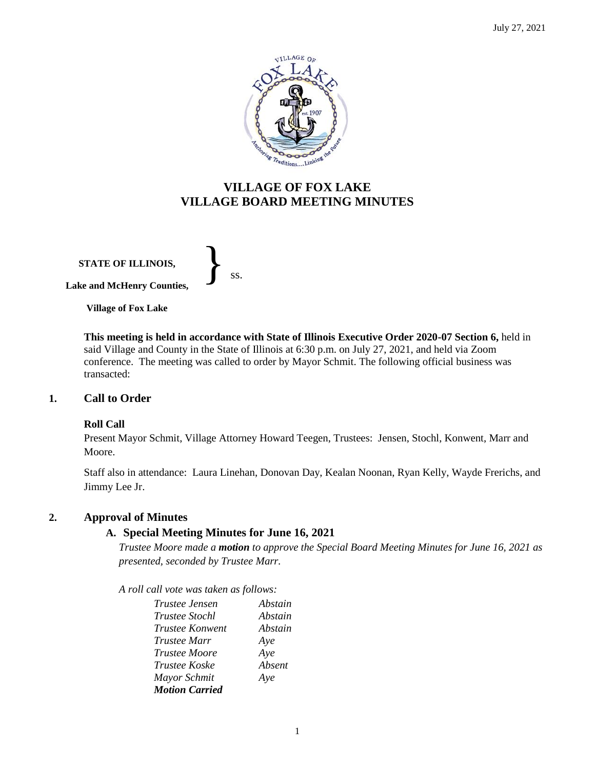

# **VILLAGE OF FOX LAKE VILLAGE BOARD MEETING MINUTES**

**STATE OF ILLINOIS, Lake and McHenry Counties,**  }<br>*ss.* 

**Village of Fox Lake**

**This meeting is held in accordance with State of Illinois Executive Order 2020-07 Section 6,** held in said Village and County in the State of Illinois at 6:30 p.m. on July 27, 2021, and held via Zoom conference. The meeting was called to order by Mayor Schmit. The following official business was transacted:

# **1. Call to Order**

## **Roll Call**

Present Mayor Schmit, Village Attorney Howard Teegen, Trustees: Jensen, Stochl, Konwent, Marr and Moore.

Staff also in attendance: Laura Linehan, Donovan Day, Kealan Noonan, Ryan Kelly, Wayde Frerichs, and Jimmy Lee Jr.

# **2. Approval of Minutes**

# **A. Special Meeting Minutes for June 16, 2021**

*Trustee Moore made a motion to approve the Special Board Meeting Minutes for June 16, 2021 as presented, seconded by Trustee Marr.* 

*A roll call vote was taken as follows:*

| <i>Trustee Jensen</i>  | Abstain |
|------------------------|---------|
| <i>Trustee Stochl</i>  | Abstain |
| <i>Trustee Konwent</i> | Abstain |
| <i>Trustee Marr</i>    | Aye     |
| <i>Trustee Moore</i>   | Aye     |
| <i>Trustee Koske</i>   | Absent  |
| Mayor Schmit           | Aye     |
| <b>Motion Carried</b>  |         |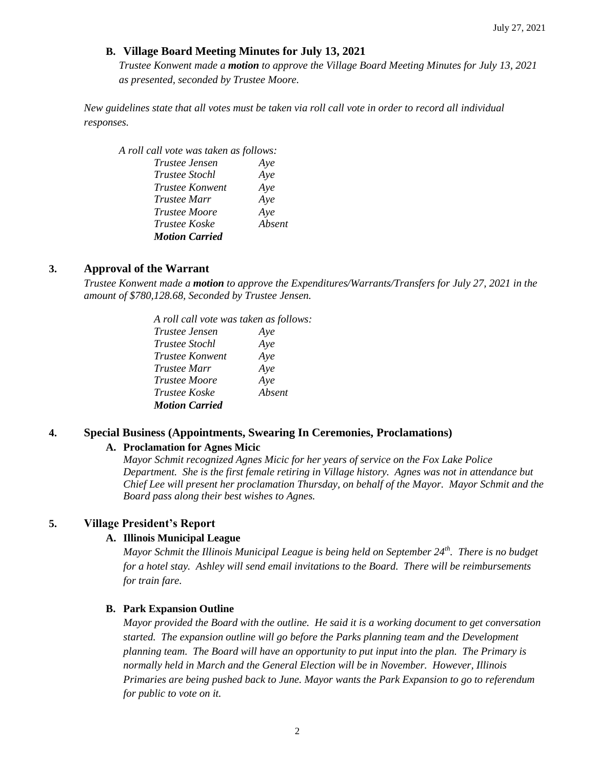# **B. Village Board Meeting Minutes for July 13, 2021**

*Trustee Konwent made a motion to approve the Village Board Meeting Minutes for July 13, 2021 as presented, seconded by Trustee Moore.* 

*New guidelines state that all votes must be taken via roll call vote in order to record all individual responses.* 

# *A roll call vote was taken as follows:*

| Trustee Jensen        | Aye    |
|-----------------------|--------|
| <i>Trustee Stochl</i> | Aye    |
| Trustee Konwent       | Aye    |
| <i>Trustee Marr</i>   | Aye    |
| <i>Trustee Moore</i>  | Aye    |
| Trustee Koske         | Absent |
| <b>Motion Carried</b> |        |

# **3. Approval of the Warrant**

*Trustee Konwent made a motion to approve the Expenditures/Warrants/Transfers for July 27, 2021 in the amount of \$780,128.68, Seconded by Trustee Jensen.*

> *A roll call vote was taken as follows: Trustee Jensen Aye Trustee Stochl Aye Trustee Konwent Aye Trustee Marr Aye Trustee Moore Aye Trustee Koske Absent Motion Carried*

# **4. Special Business (Appointments, Swearing In Ceremonies, Proclamations)**

## **A. Proclamation for Agnes Micic**

*Mayor Schmit recognized Agnes Micic for her years of service on the Fox Lake Police Department. She is the first female retiring in Village history. Agnes was not in attendance but Chief Lee will present her proclamation Thursday, on behalf of the Mayor. Mayor Schmit and the Board pass along their best wishes to Agnes.* 

## **5. Village President's Report**

## **A. Illinois Municipal League**

*Mayor Schmit the Illinois Municipal League is being held on September 24th. There is no budget for a hotel stay. Ashley will send email invitations to the Board. There will be reimbursements for train fare.* 

## **B. Park Expansion Outline**

*Mayor provided the Board with the outline. He said it is a working document to get conversation started. The expansion outline will go before the Parks planning team and the Development planning team. The Board will have an opportunity to put input into the plan. The Primary is normally held in March and the General Election will be in November. However, Illinois Primaries are being pushed back to June. Mayor wants the Park Expansion to go to referendum for public to vote on it.*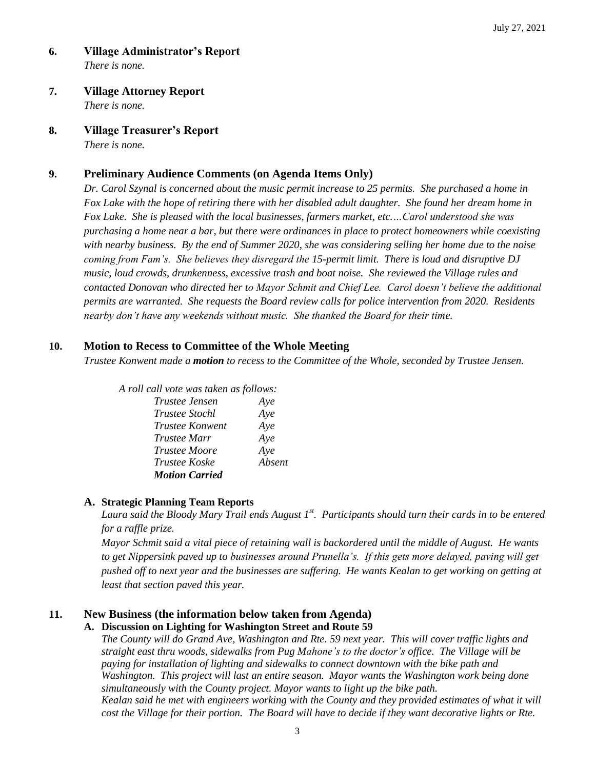- **6. Village Administrator's Report** *There is none.*
- **7. Village Attorney Report** *There is none.*
- **8. Village Treasurer's Report**

*There is none.* 

# **9. Preliminary Audience Comments (on Agenda Items Only)**

*Dr. Carol Szynal is concerned about the music permit increase to 25 permits. She purchased a home in Fox Lake with the hope of retiring there with her disabled adult daughter. She found her dream home in Fox Lake. She is pleased with the local businesses, farmers market, etc.…Carol understood she was purchasing a home near a bar, but there were ordinances in place to protect homeowners while coexisting with nearby business. By the end of Summer 2020, she was considering selling her home due to the noise coming from Fam's. She believes they disregard the 15-permit limit. There is loud and disruptive DJ music, loud crowds, drunkenness, excessive trash and boat noise. She reviewed the Village rules and contacted Donovan who directed her to Mayor Schmit and Chief Lee. Carol doesn't believe the additional permits are warranted. She requests the Board review calls for police intervention from 2020. Residents nearby don't have any weekends without music. She thanked the Board for their time.* 

# **10. Motion to Recess to Committee of the Whole Meeting**

*Trustee Konwent made a motion to recess to the Committee of the Whole, seconded by Trustee Jensen.* 

| A roll call vote was taken as follows: |        |
|----------------------------------------|--------|
| Trustee Jensen                         | Aye    |
| <i>Trustee Stochl</i>                  | Aye    |
| Trustee Konwent                        | Aye    |
| <i>Trustee Marr</i>                    | Aye    |
| <i>Trustee Moore</i>                   | Aye    |
| Trustee Koske                          | Absent |
| <b>Motion Carried</b>                  |        |

## **A. Strategic Planning Team Reports**

*Laura said the Bloody Mary Trail ends August 1st. Participants should turn their cards in to be entered for a raffle prize.* 

*Mayor Schmit said a vital piece of retaining wall is backordered until the middle of August. He wants to get Nippersink paved up to businesses around Prunella's. If this gets more delayed, paving will get pushed off to next year and the businesses are suffering. He wants Kealan to get working on getting at least that section paved this year.* 

# **11. New Business (the information below taken from Agenda)**

## **A. Discussion on Lighting for Washington Street and Route 59**

*The County will do Grand Ave, Washington and Rte. 59 next year. This will cover traffic lights and straight east thru woods, sidewalks from Pug Mahone's to the doctor's office. The Village will be paying for installation of lighting and sidewalks to connect downtown with the bike path and Washington. This project will last an entire season. Mayor wants the Washington work being done simultaneously with the County project. Mayor wants to light up the bike path. Kealan said he met with engineers working with the County and they provided estimates of what it will cost the Village for their portion. The Board will have to decide if they want decorative lights or Rte.*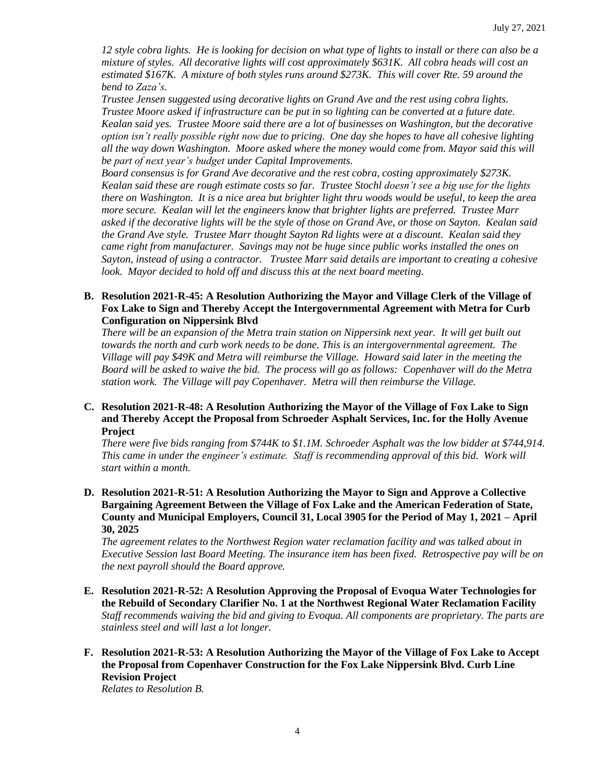*12 style cobra lights. He is looking for decision on what type of lights to install or there can also be a mixture of styles. All decorative lights will cost approximately \$631K. All cobra heads will cost an estimated \$167K. A mixture of both styles runs around \$273K. This will cover Rte. 59 around the bend to Zaza's.* 

*Trustee Jensen suggested using decorative lights on Grand Ave and the rest using cobra lights. Trustee Moore asked if infrastructure can be put in so lighting can be converted at a future date. Kealan said yes. Trustee Moore said there are a lot of businesses on Washington, but the decorative option isn't really possible right now due to pricing. One day she hopes to have all cohesive lighting all the way down Washington. Moore asked where the money would come from. Mayor said this will be part of next year's budget under Capital Improvements.*

*Board consensus is for Grand Ave decorative and the rest cobra, costing approximately \$273K. Kealan said these are rough estimate costs so far. Trustee Stochl doesn't see a big use for the lights there on Washington. It is a nice area but brighter light thru woods would be useful, to keep the area more secure. Kealan will let the engineers know that brighter lights are preferred. Trustee Marr asked if the decorative lights will be the style of those on Grand Ave, or those on Sayton. Kealan said the Grand Ave style. Trustee Marr thought Sayton Rd lights were at a discount. Kealan said they came right from manufacturer. Savings may not be huge since public works installed the ones on Sayton, instead of using a contractor. Trustee Marr said details are important to creating a cohesive look. Mayor decided to hold off and discuss this at the next board meeting.* 

## **B. Resolution 2021-R-45: A Resolution Authorizing the Mayor and Village Clerk of the Village of Fox Lake to Sign and Thereby Accept the Intergovernmental Agreement with Metra for Curb Configuration on Nippersink Blvd**

*There will be an expansion of the Metra train station on Nippersink next year. It will get built out towards the north and curb work needs to be done. This is an intergovernmental agreement. The Village will pay \$49K and Metra will reimburse the Village. Howard said later in the meeting the Board will be asked to waive the bid. The process will go as follows: Copenhaver will do the Metra station work. The Village will pay Copenhaver. Metra will then reimburse the Village.* 

#### **C. Resolution 2021-R-48: A Resolution Authorizing the Mayor of the Village of Fox Lake to Sign and Thereby Accept the Proposal from Schroeder Asphalt Services, Inc. for the Holly Avenue Project**

*There were five bids ranging from \$744K to \$1.1M. Schroeder Asphalt was the low bidder at \$744,914. This came in under the engineer's estimate. Staff is recommending approval of this bid. Work will start within a month.*

**D. Resolution 2021-R-51: A Resolution Authorizing the Mayor to Sign and Approve a Collective Bargaining Agreement Between the Village of Fox Lake and the American Federation of State, County and Municipal Employers, Council 31, Local 3905 for the Period of May 1, 2021 – April 30, 2025**

*The agreement relates to the Northwest Region water reclamation facility and was talked about in Executive Session last Board Meeting. The insurance item has been fixed. Retrospective pay will be on the next payroll should the Board approve.*

- **E. Resolution 2021-R-52: A Resolution Approving the Proposal of Evoqua Water Technologies for the Rebuild of Secondary Clarifier No. 1 at the Northwest Regional Water Reclamation Facility** *Staff recommends waiving the bid and giving to Evoqua. All components are proprietary. The parts are stainless steel and will last a lot longer.*
- **F. Resolution 2021-R-53: A Resolution Authorizing the Mayor of the Village of Fox Lake to Accept the Proposal from Copenhaver Construction for the Fox Lake Nippersink Blvd. Curb Line Revision Project**

*Relates to Resolution B.*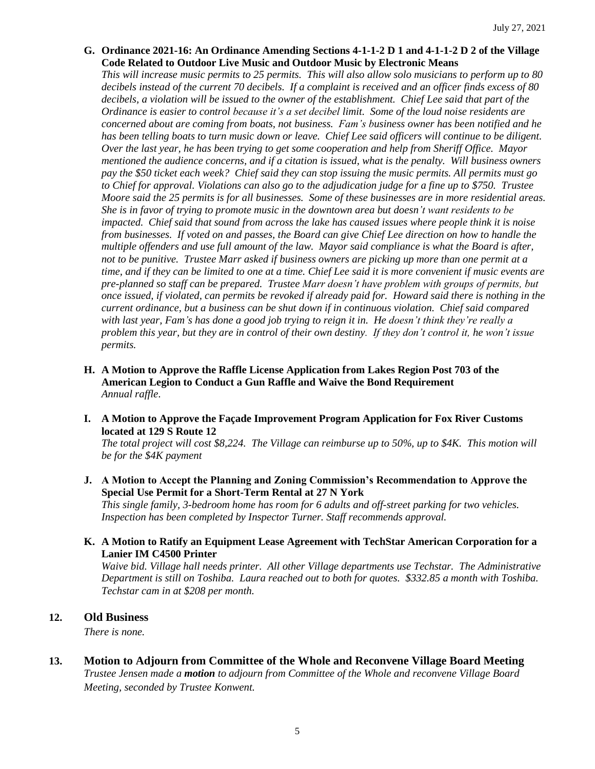**G. Ordinance 2021-16: An Ordinance Amending Sections 4-1-1-2 D 1 and 4-1-1-2 D 2 of the Village Code Related to Outdoor Live Music and Outdoor Music by Electronic Means**

*This will increase music permits to 25 permits. This will also allow solo musicians to perform up to 80 decibels instead of the current 70 decibels. If a complaint is received and an officer finds excess of 80 decibels, a violation will be issued to the owner of the establishment. Chief Lee said that part of the Ordinance is easier to control because it's a set decibel limit. Some of the loud noise residents are concerned about are coming from boats, not business. Fam's business owner has been notified and he has been telling boats to turn music down or leave. Chief Lee said officers will continue to be diligent. Over the last year, he has been trying to get some cooperation and help from Sheriff Office. Mayor mentioned the audience concerns, and if a citation is issued, what is the penalty. Will business owners pay the \$50 ticket each week? Chief said they can stop issuing the music permits. All permits must go to Chief for approval. Violations can also go to the adjudication judge for a fine up to \$750. Trustee Moore said the 25 permits is for all businesses. Some of these businesses are in more residential areas. She is in favor of trying to promote music in the downtown area but doesn't want residents to be impacted. Chief said that sound from across the lake has caused issues where people think it is noise from businesses. If voted on and passes, the Board can give Chief Lee direction on how to handle the multiple offenders and use full amount of the law. Mayor said compliance is what the Board is after, not to be punitive. Trustee Marr asked if business owners are picking up more than one permit at a time, and if they can be limited to one at a time. Chief Lee said it is more convenient if music events are pre-planned so staff can be prepared. Trustee Marr doesn't have problem with groups of permits, but once issued, if violated, can permits be revoked if already paid for. Howard said there is nothing in the current ordinance, but a business can be shut down if in continuous violation. Chief said compared with last year, Fam's has done a good job trying to reign it in. He doesn't think they're really a problem this year, but they are in control of their own destiny. If they don't control it, he won't issue permits.* 

- **H. A Motion to Approve the Raffle License Application from Lakes Region Post 703 of the American Legion to Conduct a Gun Raffle and Waive the Bond Requirement** *Annual raffle*.
- **I. A Motion to Approve the Façade Improvement Program Application for Fox River Customs located at 129 S Route 12**

*The total project will cost \$8,224. The Village can reimburse up to 50%, up to \$4K. This motion will be for the \$4K payment*

**J. A Motion to Accept the Planning and Zoning Commission's Recommendation to Approve the Special Use Permit for a Short-Term Rental at 27 N York**

*This single family, 3-bedroom home has room for 6 adults and off-street parking for two vehicles. Inspection has been completed by Inspector Turner. Staff recommends approval.* 

**K. A Motion to Ratify an Equipment Lease Agreement with TechStar American Corporation for a Lanier IM C4500 Printer**

*Waive bid. Village hall needs printer. All other Village departments use Techstar. The Administrative Department is still on Toshiba. Laura reached out to both for quotes. \$332.85 a month with Toshiba. Techstar cam in at \$208 per month.* 

## **12. Old Business**

*There is none.*

**13. Motion to Adjourn from Committee of the Whole and Reconvene Village Board Meeting** *Trustee Jensen made a motion to adjourn from Committee of the Whole and reconvene Village Board Meeting, seconded by Trustee Konwent.*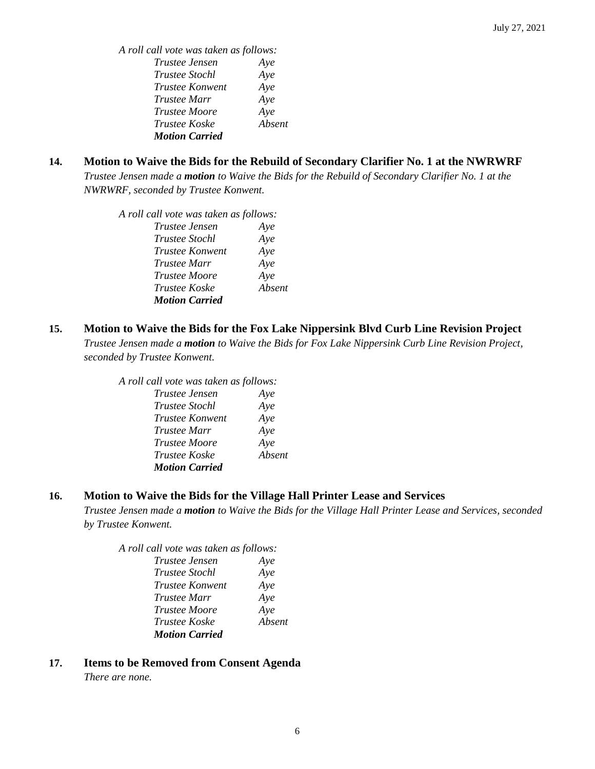*A roll call vote was taken as follows: Trustee Jensen Aye Trustee Stochl Aye Trustee Konwent Aye Trustee Marr Aye Trustee Moore Aye Trustee Koske Absent Motion Carried*

# **14. Motion to Waive the Bids for the Rebuild of Secondary Clarifier No. 1 at the NWRWRF**

*Trustee Jensen made a motion to Waive the Bids for the Rebuild of Secondary Clarifier No. 1 at the NWRWRF, seconded by Trustee Konwent.* 

*A roll call vote was taken as follows: Trustee Jensen Aye Trustee Stochl Aye Trustee Konwent Aye Trustee Marr Aye Trustee Moore Aye Trustee Koske Absent Motion Carried*

# **15. Motion to Waive the Bids for the Fox Lake Nippersink Blvd Curb Line Revision Project**

*Trustee Jensen made a motion to Waive the Bids for Fox Lake Nippersink Curb Line Revision Project, seconded by Trustee Konwent.* 

*A roll call vote was taken as follows:* 

| Trustee Jensen         | Aye    |
|------------------------|--------|
| Trustee Stochl         | Aye    |
| <b>Trustee Konwent</b> | Aye    |
| Trustee Marr           | Aye    |
| <i>Trustee Moore</i>   | Aye    |
| Trustee Koske          | Absent |
| <b>Motion Carried</b>  |        |

# **16. Motion to Waive the Bids for the Village Hall Printer Lease and Services**

*Trustee Jensen made a motion to Waive the Bids for the Village Hall Printer Lease and Services, seconded by Trustee Konwent.* 

| A roll call vote was taken as follows: |        |
|----------------------------------------|--------|
| Trustee Jensen                         | Ave    |
| Trustee Stochl                         | Aye    |
| Trustee Konwent                        | Aye    |
| <i>Trustee Marr</i>                    | Aye    |
| Trustee Moore                          | Aye    |
| Trustee Koske                          | Absent |
| <b>Motion Carried</b>                  |        |
|                                        |        |

# **17. Items to be Removed from Consent Agenda**

*There are none.*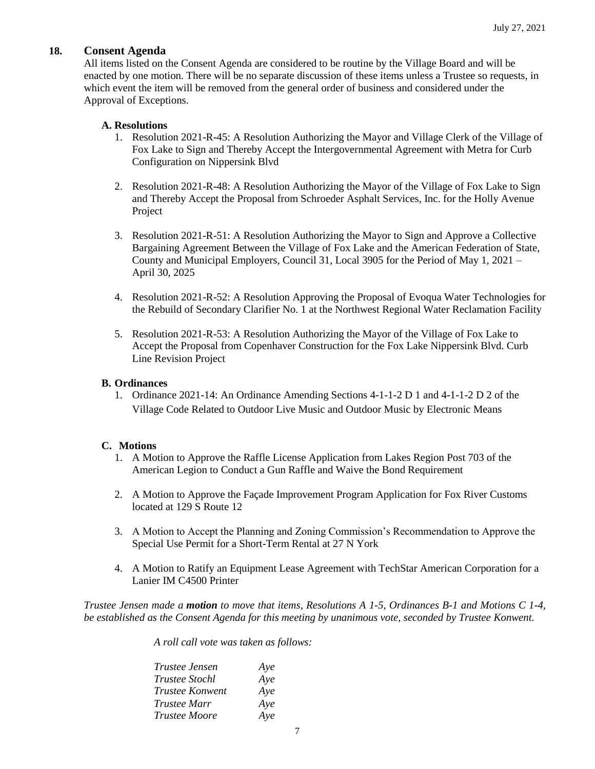# **18. Consent Agenda**

All items listed on the Consent Agenda are considered to be routine by the Village Board and will be enacted by one motion. There will be no separate discussion of these items unless a Trustee so requests, in which event the item will be removed from the general order of business and considered under the Approval of Exceptions.

# **A. Resolutions**

- 1. Resolution 2021-R-45: A Resolution Authorizing the Mayor and Village Clerk of the Village of Fox Lake to Sign and Thereby Accept the Intergovernmental Agreement with Metra for Curb Configuration on Nippersink Blvd
- 2. Resolution 2021-R-48: A Resolution Authorizing the Mayor of the Village of Fox Lake to Sign and Thereby Accept the Proposal from Schroeder Asphalt Services, Inc. for the Holly Avenue Project
- 3. Resolution 2021-R-51: A Resolution Authorizing the Mayor to Sign and Approve a Collective Bargaining Agreement Between the Village of Fox Lake and the American Federation of State, County and Municipal Employers, Council 31, Local 3905 for the Period of May 1, 2021 – April 30, 2025
- 4. Resolution 2021-R-52: A Resolution Approving the Proposal of Evoqua Water Technologies for the Rebuild of Secondary Clarifier No. 1 at the Northwest Regional Water Reclamation Facility
- 5. Resolution 2021-R-53: A Resolution Authorizing the Mayor of the Village of Fox Lake to Accept the Proposal from Copenhaver Construction for the Fox Lake Nippersink Blvd. Curb Line Revision Project

## **B. Ordinances**

1. Ordinance 2021-14: An Ordinance Amending Sections 4-1-1-2 D 1 and 4-1-1-2 D 2 of the Village Code Related to Outdoor Live Music and Outdoor Music by Electronic Means

# **C. Motions**

- 1. A Motion to Approve the Raffle License Application from Lakes Region Post 703 of the American Legion to Conduct a Gun Raffle and Waive the Bond Requirement
- 2. A Motion to Approve the Façade Improvement Program Application for Fox River Customs located at 129 S Route 12
- 3. A Motion to Accept the Planning and Zoning Commission's Recommendation to Approve the Special Use Permit for a Short-Term Rental at 27 N York
- 4. A Motion to Ratify an Equipment Lease Agreement with TechStar American Corporation for a Lanier IM C4500 Printer

*Trustee Jensen made a motion to move that items, Resolutions A 1-5, Ordinances B-1 and Motions C 1-4, be established as the Consent Agenda for this meeting by unanimous vote, seconded by Trustee Konwent.*

*A roll call vote was taken as follows:* 

| <i>Trustee Jensen</i> | Aye |
|-----------------------|-----|
| <i>Trustee Stochl</i> | Aye |
| Trustee Konwent       | Aye |
| Trustee Marr          | Aye |
| <b>Trustee Moore</b>  | Aye |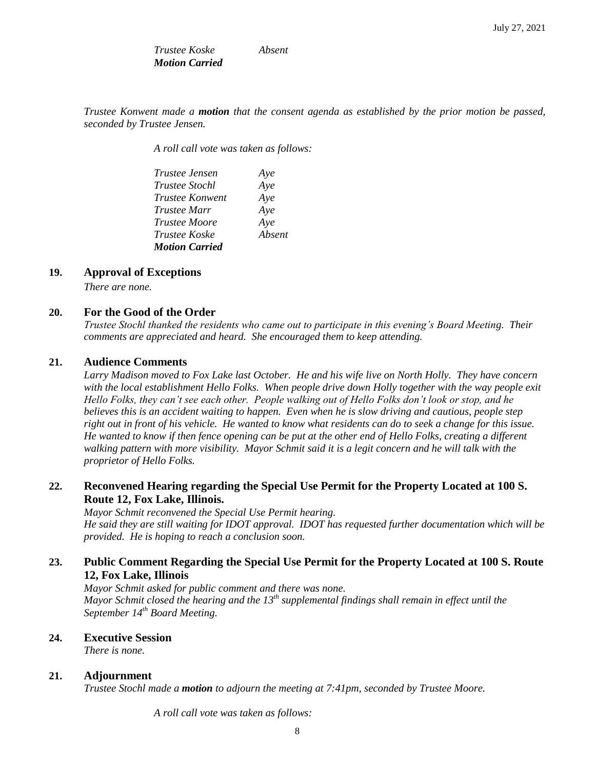*Trustee Koske Absent Motion Carried* 

*Trustee Konwent made a motion that the consent agenda as established by the prior motion be passed, seconded by Trustee Jensen.*

*A roll call vote was taken as follows:* 

| <i>Trustee Jensen</i>  | Aye    |
|------------------------|--------|
| <i>Trustee Stochl</i>  | Aye    |
| <i>Trustee Konwent</i> | Aye    |
| <i>Trustee Marr</i>    | Aye    |
| Trustee Moore          | Aye    |
| <i>Trustee Koske</i>   | Absent |
| <b>Motion Carried</b>  |        |

# **19. Approval of Exceptions**

*There are none.* 

#### **20. For the Good of the Order**

*Trustee Stochl thanked the residents who came out to participate in this evening's Board Meeting. Their comments are appreciated and heard. She encouraged them to keep attending.* 

## **21. Audience Comments**

*Larry Madison moved to Fox Lake last October. He and his wife live on North Holly. They have concern with the local establishment Hello Folks. When people drive down Holly together with the way people exit Hello Folks, they can't see each other. People walking out of Hello Folks don't look or stop, and he believes this is an accident waiting to happen. Even when he is slow driving and cautious, people step right out in front of his vehicle. He wanted to know what residents can do to seek a change for this issue. He wanted to know if then fence opening can be put at the other end of Hello Folks, creating a different walking pattern with more visibility. Mayor Schmit said it is a legit concern and he will talk with the proprietor of Hello Folks.* 

# **22. Reconvened Hearing regarding the Special Use Permit for the Property Located at 100 S. Route 12, Fox Lake, Illinois.**

*Mayor Schmit reconvened the Special Use Permit hearing. He said they are still waiting for IDOT approval. IDOT has requested further documentation which will be provided. He is hoping to reach a conclusion soon.* 

## **23. Public Comment Regarding the Special Use Permit for the Property Located at 100 S. Route 12, Fox Lake, Illinois**

*Mayor Schmit asked for public comment and there was none. Mayor Schmit closed the hearing and the 13th supplemental findings shall remain in effect until the September 14th Board Meeting.* 

# **24. Executive Session**

*There is none.*

#### **21. Adjournment**

*Trustee Stochl made a motion to adjourn the meeting at 7:41pm, seconded by Trustee Moore.*

*A roll call vote was taken as follows:*